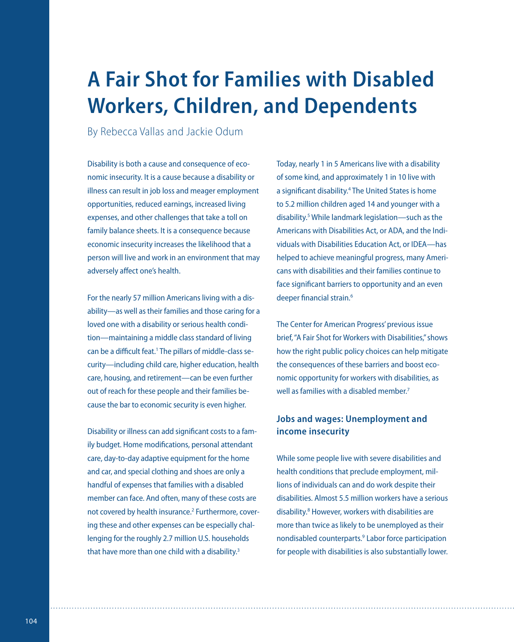# **A Fair Shot for Families with Disabled Workers, Children, and Dependents**

By Rebecca Vallas and Jackie Odum

Disability is both a cause and consequence of economic insecurity. It is a cause because a disability or illness can result in job loss and meager employment opportunities, reduced earnings, increased living expenses, and other challenges that take a toll on family balance sheets. It is a consequence because economic insecurity increases the likelihood that a person will live and work in an environment that may adversely affect one's health.

For the nearly 57 million Americans living with a disability—as well as their families and those caring for a loved one with a disability or serious health condition—maintaining a middle class standard of living can be a difficult feat.<sup>1</sup> The pillars of middle-class security—including child care, higher education, health care, housing, and retirement—can be even further out of reach for these people and their families because the bar to economic security is even higher.

Disability or illness can add significant costs to a family budget. Home modifications, personal attendant care, day-to-day adaptive equipment for the home and car, and special clothing and shoes are only a handful of expenses that families with a disabled member can face. And often, many of these costs are not covered by health insurance.<sup>2</sup> Furthermore, covering these and other expenses can be especially challenging for the roughly 2.7 million U.S. households that have more than one child with a disability.<sup>3</sup>

Today, nearly 1 in 5 Americans live with a disability of some kind, and approximately 1 in 10 live with a significant disability.<sup>4</sup> The United States is home to 5.2 million children aged 14 and younger with a disability.<sup>5</sup> While landmark legislation—such as the Americans with Disabilities Act, or ADA, and the Individuals with Disabilities Education Act, or IDEA—has helped to achieve meaningful progress, many Americans with disabilities and their families continue to face significant barriers to opportunity and an even deeper financial strain.<sup>6</sup>

The Center for American Progress' previous issue brief, "A Fair Shot for Workers with Disabilities," shows how the right public policy choices can help mitigate the consequences of these barriers and boost economic opportunity for workers with disabilities, as well as families with a disabled member<sup>7</sup>

## **Jobs and wages: Unemployment and income insecurity**

While some people live with severe disabilities and health conditions that preclude employment, millions of individuals can and do work despite their disabilities. Almost 5.5 million workers have a serious disability.<sup>8</sup> However, workers with disabilities are more than twice as likely to be unemployed as their nondisabled counterparts.<sup>9</sup> Labor force participation for people with disabilities is also substantially lower.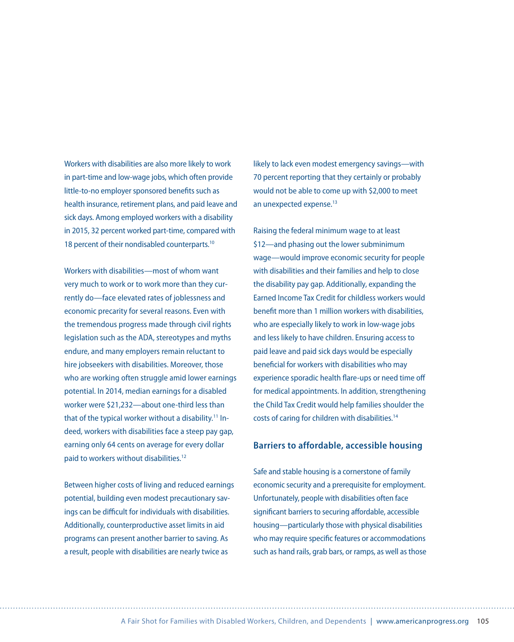Workers with disabilities are also more likely to work in part-time and low-wage jobs, which often provide little-to-no employer sponsored benefits such as health insurance, retirement plans, and paid leave and sick days. Among employed workers with a disability in 2015, 32 percent worked part-time, compared with 18 percent of their nondisabled counterparts.<sup>10</sup>

Workers with disabilities—most of whom want very much to work or to work more than they currently do—face elevated rates of joblessness and economic precarity for several reasons. Even with the tremendous progress made through civil rights legislation such as the ADA, stereotypes and myths endure, and many employers remain reluctant to hire jobseekers with disabilities. Moreover, those who are working often struggle amid lower earnings potential. In 2014, median earnings for a disabled worker were \$21,232—about one-third less than that of the typical worker without a disability.<sup>11</sup> Indeed, workers with disabilities face a steep pay gap, earning only 64 cents on average for every dollar paid to workers without disabilities.<sup>12</sup>

Between higher costs of living and reduced earnings potential, building even modest precautionary savings can be difficult for individuals with disabilities. Additionally, counterproductive asset limits in aid programs can present another barrier to saving. As a result, people with disabilities are nearly twice as

likely to lack even modest emergency savings—with 70 percent reporting that they certainly or probably would not be able to come up with \$2,000 to meet an unexpected expense.<sup>13</sup>

Raising the federal minimum wage to at least \$12—and phasing out the lower subminimum wage—would improve economic security for people with disabilities and their families and help to close the disability pay gap. Additionally, expanding the Earned Income Tax Credit for childless workers would benefit more than 1 million workers with disabilities, who are especially likely to work in low-wage jobs and less likely to have children. Ensuring access to paid leave and paid sick days would be especially beneficial for workers with disabilities who may experience sporadic health flare-ups or need time off for medical appointments. In addition, strengthening the Child Tax Credit would help families shoulder the costs of caring for children with disabilities.<sup>14</sup>

#### **Barriers to affordable, accessible housing**

Safe and stable housing is a cornerstone of family economic security and a prerequisite for employment. Unfortunately, people with disabilities often face significant barriers to securing affordable, accessible housing—particularly those with physical disabilities who may require specific features or accommodations such as hand rails, grab bars, or ramps, as well as those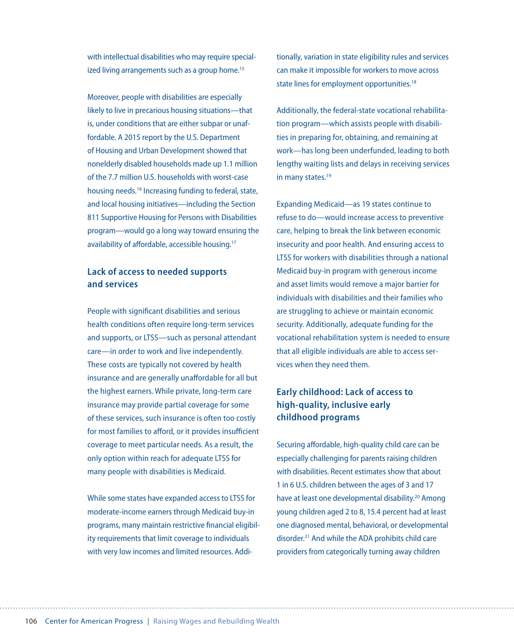with intellectual disabilities who may require specialized living arrangements such as a group home.<sup>15</sup>

Moreover, people with disabilities are especially likely to live in precarious housing situations—that is, under conditions that are either subpar or unaffordable. A 2015 report by the U.S. Department of Housing and Urban Development showed that nonelderly disabled households made up 1.1 million of the 7.7 million U.S. households with worst-case housing needs.<sup>16</sup> Increasing funding to federal, state, and local housing initiatives—including the Section 811 Supportive Housing for Persons with Disabilities program—would go a long way toward ensuring the availability of affordable, accessible housing.<sup>17</sup>

### **Lack of access to needed supports and services**

People with significant disabilities and serious health conditions often require long-term services and supports, or LTSS—such as personal attendant care—in order to work and live independently. These costs are typically not covered by health insurance and are generally unaffordable for all but the highest earners. While private, long-term care insurance may provide partial coverage for some of these services, such insurance is often too costly for most families to afford, or it provides insufficient coverage to meet particular needs. As a result, the only option within reach for adequate LTSS for many people with disabilities is Medicaid.

While some states have expanded access to LTSS for moderate-income earners through Medicaid buy-in programs, many maintain restrictive financial eligibility requirements that limit coverage to individuals with very low incomes and limited resources. Additionally, variation in state eligibility rules and services can make it impossible for workers to move across state lines for employment opportunities.<sup>18</sup>

Additionally, the federal-state vocational rehabilitation program—which assists people with disabilities in preparing for, obtaining, and remaining at work—has long been underfunded, leading to both lengthy waiting lists and delays in receiving services in many states.<sup>19</sup>

Expanding Medicaid—as 19 states continue to refuse to do—would increase access to preventive care, helping to break the link between economic insecurity and poor health. And ensuring access to LTSS for workers with disabilities through a national Medicaid buy-in program with generous income and asset limits would remove a major barrier for individuals with disabilities and their families who are struggling to achieve or maintain economic security. Additionally, adequate funding for the vocational rehabilitation system is needed to ensure that all eligible individuals are able to access services when they need them.

## **Early childhood: Lack of access to high-quality, inclusive early childhood programs**

Securing affordable, high-quality child care can be especially challenging for parents raising children with disabilities. Recent estimates show that about 1 in 6 U.S. children between the ages of 3 and 17 have at least one developmental disability.<sup>20</sup> Among young children aged 2 to 8, 15.4 percent had at least one diagnosed mental, behavioral, or developmental disorder.<sup>21</sup> And while the ADA prohibits child care providers from categorically turning away children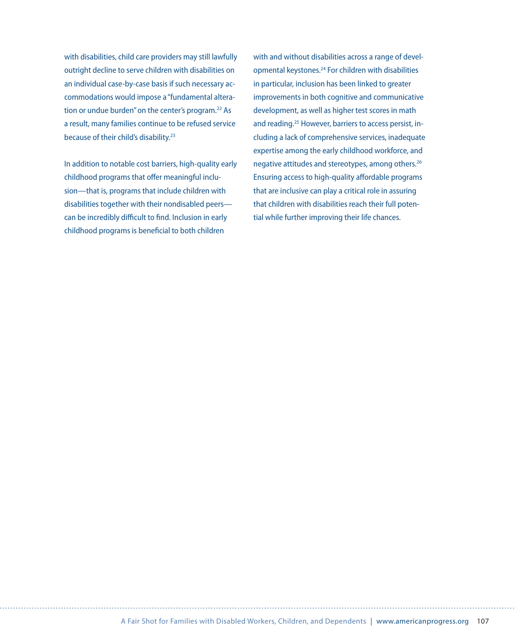with disabilities, child care providers may still lawfully outright decline to serve children with disabilities on an individual case-by-case basis if such necessary accommodations would impose a "fundamental alteration or undue burden" on the center's program.<sup>22</sup> As a result, many families continue to be refused service because of their child's disability.<sup>23</sup>

In addition to notable cost barriers, high-quality early childhood programs that offer meaningful inclusion—that is, programs that include children with disabilities together with their nondisabled peers can be incredibly difficult to find. Inclusion in early childhood programs is beneficial to both children

with and without disabilities across a range of developmental keystones.<sup>24</sup> For children with disabilities in particular, inclusion has been linked to greater improvements in both cognitive and communicative development, as well as higher test scores in math and reading.<sup>25</sup> However, barriers to access persist, including a lack of comprehensive services, inadequate expertise among the early childhood workforce, and negative attitudes and stereotypes, among others.<sup>26</sup> Ensuring access to high-quality affordable programs that are inclusive can play a critical role in assuring that children with disabilities reach their full potential while further improving their life chances.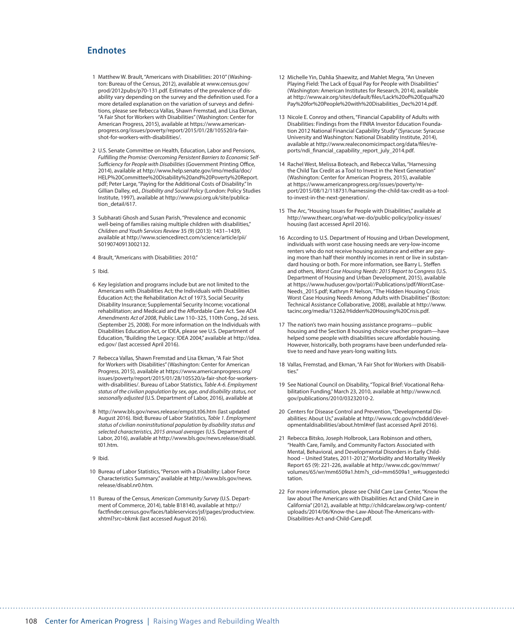#### **Endnotes**

- 1 Matthew W. Brault, "Americans with Disabilities: 2010" (Washington: Bureau of the Census, 2012), available at [www.census.gov/](http://www.census.gov/prod/2012pubs/p70-131.pdf) [prod/2012pubs/p70-131.pdf](http://www.census.gov/prod/2012pubs/p70-131.pdf). Estimates of the prevalence of disability vary depending on the survey and the definition used. For a more detailed explanation on the variation of surveys and definitions, please see Rebecca Vallas, Shawn Fremstad, and Lisa Ekman, "A Fair Shot for Workers with Disabilities" (Washington: Center for American Progress, 2015), available at [https://www.american](https://www.americanprogress.org/issues/poverty/report/2015/01/28/105520/a-fair-shot-for-workers-with-disabilities/)[progress.org/issues/poverty/report/2015/01/28/105520/a-fair](https://www.americanprogress.org/issues/poverty/report/2015/01/28/105520/a-fair-shot-for-workers-with-disabilities/)[shot-for-workers-with-disabilities/.](https://www.americanprogress.org/issues/poverty/report/2015/01/28/105520/a-fair-shot-for-workers-with-disabilities/)
- 2 U.S. Senate Committee on Health, Education, Labor and Pensions, *Fulfilling the Promise: Overcoming Persistent Barriers to Economic Self-Sufficiency for People with Disabilities* (Government Printing Office, 2014), available at [http://www.help.senate.gov/imo/media/doc/](http://www.help.senate.gov/imo/media/doc/HELP%20Committee%20Disability%20and%20Poverty%20Report.pdf) [HELP%20Committee%20Disability%20and%20Poverty%20Report.](http://www.help.senate.gov/imo/media/doc/HELP%20Committee%20Disability%20and%20Poverty%20Report.pdf) [pdf](http://www.help.senate.gov/imo/media/doc/HELP%20Committee%20Disability%20and%20Poverty%20Report.pdf); Peter Large, "Paying for the Additional Costs of Disability." In Gillian Dalley, ed., *Disability and Social Policy* (London: Policy Studies Institute, 1997), available at [http://www.psi.org.uk/site/publica](http://www.psi.org.uk/site/publication_detail/617)[tion\\_detail/617.](http://www.psi.org.uk/site/publication_detail/617)
- 3 Subharati Ghosh and Susan Parish, "Prevalence and economic well-being of families raising multiple children with disabilities," *Children and Youth Services Review* 35 (9) (2013): 1431–1439, available at http://www.sciencedirect.com/science/article/pii/ S0190740913002132.
- 4 Brault, "Americans with Disabilities: 2010."
- 5 Ibid.
- 6 Key legislation and programs include but are not limited to the Americans with Disabilities Act; the Individuals with Disabilities Education Act; the Rehabilitation Act of 1973, Social Security Disability Insurance; Supplemental Security Income; vocational rehabilitation; and Medicaid and the Affordable Care Act. See *ADA Amendments Act of 2008*, Public Law 110–325, 110th Cong., 2d sess. (September 25, 2008). For more information on the Individuals with Disabilities Education Act, or IDEA, please see U.S. Department of Education, "Building the Legacy: IDEA 2004," available at [http://idea.](http://idea.ed.gov/) [ed.gov/](http://idea.ed.gov/) (last accessed April 2016).
- 7 Rebecca Vallas, Shawn Fremstad and Lisa Ekman, "A Fair Shot for Workers with Disabilities" (Washington: Center for American Progress, 2015), available at [https://www.americanprogress.org/](https://www.americanprogress.org/issues/poverty/report/2015/01/28/105520/a-fair-shot-for-workers-with-disabilities/) [issues/poverty/report/2015/01/28/105520/a-fair-shot-for-workers](https://www.americanprogress.org/issues/poverty/report/2015/01/28/105520/a-fair-shot-for-workers-with-disabilities/)[with-disabilities/](https://www.americanprogress.org/issues/poverty/report/2015/01/28/105520/a-fair-shot-for-workers-with-disabilities/). Bureau of Labor Statistics, *Table A-6. Employment status of the civilian population by sex, age, and disability status, not seasonally adjusted* (U.S. Department of Labor, 2016), available at
- 8 http://www.bls.gov/news.release/empsit.t06.htm (last updated August 2016). Ibid; Bureau of Labor Statistics, *Table 1. Employment status of civilian noninstitutional population by disability status and selected characteristics, 2015 annual averages* (U.S. Department of Labor, 2016), available at [http://www.bls.gov/news.release/disabl.](http://www.bls.gov/news.release/disabl.t01.htm) [t01.htm](http://www.bls.gov/news.release/disabl.t01.htm).

9 Ibid.

- 10 Bureau of Labor Statistics, "Person with a Disability: Labor Force Characteristics Summary," available at [http://www.bls.gov/news.](http://www.bls.gov/news.release/disabl.nr0.htm) [release/disabl.nr0.htm](http://www.bls.gov/news.release/disabl.nr0.htm).
- 11 Bureau of the Census, *American Community Survey* (U.S. Department of Commerce, 2014), table B18140, available at [http://](http://factfinder.census.gov/faces/tableservices/jsf/pages/productview.xhtml?src=bkmk) [factfinder.census.gov/faces/tableservices/jsf/pages/productview.](http://factfinder.census.gov/faces/tableservices/jsf/pages/productview.xhtml?src=bkmk) [xhtml?src=bkmk](http://factfinder.census.gov/faces/tableservices/jsf/pages/productview.xhtml?src=bkmk) (last accessed August 2016).
- 12 Michelle Yin, Dahlia Shaewitz, and Mahlet Megra, "An Uneven Playing Field: The Lack of Equal Pay for People with Disabilities" (Washington: American Institutes for Research, 2014), available at [http://www.air.org/sites/default/files/Lack%20of%20Equal%20](http://www.air.org/sites/default/files/Lack%20of%20Equal%20Pay%20for%20People%20with%20Disabilities_Dec%2014.pdf) [Pay%20for%20People%20with%20Disabilities\\_Dec%2014.pdf.](http://www.air.org/sites/default/files/Lack%20of%20Equal%20Pay%20for%20People%20with%20Disabilities_Dec%2014.pdf)
- 13 Nicole E. Conroy and others, "Financial Capability of Adults with Disabilities: Findings from the FINRA Investor Education Foundation 2012 National Financial Capability Study" (Syracuse: Syracuse University and Washington: National Disability Institute, 2014), available at [http://www.realeconomicimpact.org/data/files/re](http://www.realeconomicimpact.org/data/files/reports/ndi_financial_capability_report_july_2014.pdf)[ports/ndi\\_financial\\_capability\\_report\\_july\\_2014.pdf](http://www.realeconomicimpact.org/data/files/reports/ndi_financial_capability_report_july_2014.pdf).
- 14 Rachel West, Melissa Boteach, and Rebecca Vallas, "Harnessing the Child Tax Credit as a Tool to Invest in the Next Generation" (Washington: Center for American Progress, 2015), available at [https://www.americanprogress.org/issues/poverty/re](https://www.americanprogress.org/issues/poverty/report/2015/08/12/118731/harnessing-the-child-tax-credit-as-a-tool-to-invest-in-the-next-generation/)[port/2015/08/12/118731/harnessing-the-child-tax-credit-as-a-tool](https://www.americanprogress.org/issues/poverty/report/2015/08/12/118731/harnessing-the-child-tax-credit-as-a-tool-to-invest-in-the-next-generation/)[to-invest-in-the-next-generation/](https://www.americanprogress.org/issues/poverty/report/2015/08/12/118731/harnessing-the-child-tax-credit-as-a-tool-to-invest-in-the-next-generation/).
- 15 The Arc, "Housing Issues for People with Disabilities," available at [http://www.thearc.org/what-we-do/public-policy/policy-issues/](http://www.thearc.org/what-we-do/public-policy/policy-issues/housing) [housing](http://www.thearc.org/what-we-do/public-policy/policy-issues/housing) (last accessed April 2016).
- 16 According to U.S. Department of Housing and Urban Development, individuals with worst case housing needs are very-low-income renters who do not receive housing assistance and either are paying more than half their monthly incomes in rent or live in substandard housing or both. For more information, see Barry L. Steffen and others, *Worst Case Housing Needs: 2015 Report to Congress* (U.S. Department of Housing and Urban Development, 2015), available at https://www.huduser.gov/portal//Publications/pdf/WorstCase-Needs\_2015.pdf; Kathryn P. Nelson, "The Hidden Housing Crisis: Worst Case Housing Needs Among Adults with Disabilities" (Boston: Technical Assistance Collaborative, 2008), available at http://www. tacinc.org/media/13262/Hidden%20Housing%20Crisis.pdf.
- 17 The nation's two main housing assistance programs—public housing and the Section 8 housing choice voucher program—have helped some people with disabilities secure affordable housing. However, historically, both programs have been underfunded relative to need and have years-long waiting lists.
- 18 Vallas, Fremstad, and Ekman, "A Fair Shot for Workers with Disabilities<sup>"</sup>
- 19 See National Council on Disability, "Topical Brief: Vocational Rehabilitation Funding," March 23, 2010, available at http://www.ncd. gov/publications/2010/03232010-2.
- 20 Centers for Disease Control and Prevention, "Developmental Disabilities: About Us," available at http://www.cdc.gov/ncbddd/developmentaldisabilities/about.html#ref (last accessed April 2016).
- 21 Rebecca Bitsko, Joseph Holbrook, Lara Robinson and others, "Health Care, Family, and Community Factors Associated with Mental, Behavioral, and Developmental Disorders in Early Childhood – United States, 2011-2012," Morbidity and Mortality Weekly Report 65 (9): 221-226, available at http://www.cdc.gov/mmwr/ volumes/65/wr/mm6509a1.htm?s\_cid=mm6509a1\_w#suggestedci tation.
- 22 For more information, please see Child Care Law Center, "Know the law about The Americans with Disabilities Act and Child Care in California" (2012), available at [http://childcarelaw.org/wp-content/](http://childcarelaw.org/wp-content/uploads/2014/06/Know-the-Law-About-The-Americans-with-Disabilities-Act-and-Child-Care.pdf) [uploads/2014/06/Know-the-Law-About-The-Americans-with-](http://childcarelaw.org/wp-content/uploads/2014/06/Know-the-Law-About-The-Americans-with-Disabilities-Act-and-Child-Care.pdf)[Disabilities-Act-and-Child-Care.pdf](http://childcarelaw.org/wp-content/uploads/2014/06/Know-the-Law-About-The-Americans-with-Disabilities-Act-and-Child-Care.pdf).